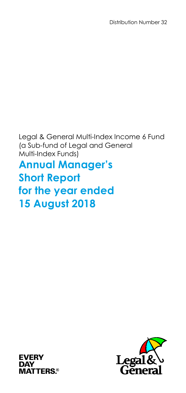Legal & General Multi-Index Income 6 Fund (a Sub-fund of Legal and General Multi-Index Funds) **Annual Manager's Short Report for the year ended 15 August 2018**



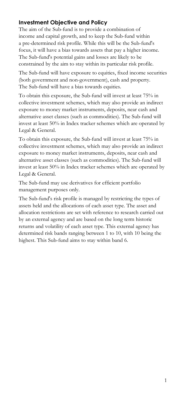# **Investment Objective and Policy**

The aim of the Sub-fund is to provide a combination of income and capital growth, and to keep the Sub-fund within a pre-determined risk profile. While this will be the Sub-fund's focus, it will have a bias towards assets that pay a higher income. The Sub-fund's potential gains and losses are likely to be constrained by the aim to stay within its particular risk profile.

The Sub-fund will have exposure to equities, fixed income securities (both government and non-government), cash and property. The Sub-fund will have a bias towards equities.

To obtain this exposure, the Sub-fund will invest at least 75% in collective investment schemes, which may also provide an indirect exposure to money market instruments, deposits, near cash and alternative asset classes (such as commodities). The Sub-fund will invest at least 50% in Index tracker schemes which are operated by Legal & General.

To obtain this exposure, the Sub-fund will invest at least 75% in collective investment schemes, which may also provide an indirect exposure to money market instruments, deposits, near cash and alternative asset classes (such as commodities). The Sub-fund will invest at least 50% in Index tracker schemes which are operated by Legal & General.

The Sub-fund may use derivatives for efficient portfolio management purposes only.

The Sub-fund's risk profile is managed by restricting the types of assets held and the allocations of each asset type. The asset and allocation restrictions are set with reference to research carried out by an external agency and are based on the long term historic returns and volatility of each asset type. This external agency has determined risk bands ranging between 1 to 10, with 10 being the highest. This Sub-fund aims to stay within band 6.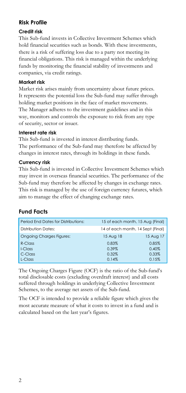# **Risk Profile**

### **Credit risk**

This Sub-fund invests in Collective Investment Schemes which hold financial securities such as bonds. With these investments, there is a risk of suffering loss due to a party not meeting its financial obligations. This risk is managed within the underlying funds by monitoring the financial stability of investments and companies, via credit ratings.

### **Market risk**

Market risk arises mainly from uncertainty about future prices. It represents the potential loss the Sub-fund may suffer through holding market positions in the face of market movements. The Manager adheres to the investment guidelines and in this way, monitors and controls the exposure to risk from any type of security, sector or issuer.

### **Interest rate risk**

This Sub-fund is invested in interest distributing funds. The performance of the Sub-fund may therefore be affected by changes in interest rates, through its holdings in these funds.

### **Currency risk**

This Sub-fund is invested in Collective Investment Schemes which may invest in overseas financial securities. The performance of the Sub-fund may therefore be affected by changes in exchange rates. This risk is managed by the use of foreign currency futures, which aim to manage the effect of changing exchange rates.

# **Fund Facts**

| 15 Aug 18 | 15 Aug 17                                                             |
|-----------|-----------------------------------------------------------------------|
| 0.83%     | 0.85%                                                                 |
| 0.39%     | 0.40%                                                                 |
| 0.32%     | 0.33%                                                                 |
| 0.14%     | 0.15%                                                                 |
|           | 15 of each month, 15 Aug (Final)<br>14 of each month, 14 Sept (Final) |

The Ongoing Charges Figure (OCF) is the ratio of the Sub-fund's total disclosable costs (excluding overdraft interest) and all costs suffered through holdings in underlying Collective Investment Schemes, to the average net assets of the Sub-fund.

The OCF is intended to provide a reliable figure which gives the most accurate measure of what it costs to invest in a fund and is calculated based on the last year's figures.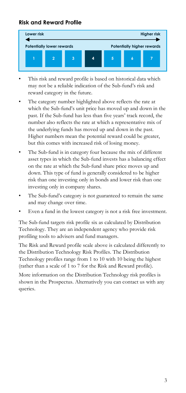# **Risk and Reward Profile**



- This risk and reward profile is based on historical data which may not be a reliable indication of the Sub-fund's risk and reward category in the future.
- The category number highlighted above reflects the rate at which the Sub-fund's unit price has moved up and down in the past. If the Sub-fund has less than five years' track record, the number also reflects the rate at which a representative mix of the underlying funds has moved up and down in the past. Higher numbers mean the potential reward could be greater, but this comes with increased risk of losing money.
- The Sub-fund is in category four because the mix of different asset types in which the Sub-fund invests has a balancing effect on the rate at which the Sub-fund share price moves up and down. This type of fund is generally considered to be higher risk than one investing only in bonds and lower risk than one investing only in company shares.
- The Sub-fund's category is not guaranteed to remain the same and may change over time.
- Even a fund in the lowest category is not a risk free investment.

The Sub-fund targets risk profile six as calculated by Distribution Technology. They are an independent agency who provide risk profiling tools to advisers and fund managers.

The Risk and Reward profile scale above is calculated differently to the Distribution Technology Risk Profiles. The Distribution Technology profiles range from 1 to 10 with 10 being the highest (rather than a scale of 1 to 7 for the Risk and Reward profile).

More information on the Distribution Technology risk profiles is shown in the Prospectus. Alternatively you can contact us with any queries.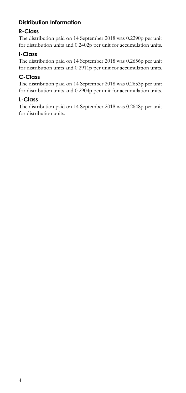# **Distribution Information**

# **R-Class**

The distribution paid on 14 September 2018 was 0.2290p per unit for distribution units and 0.2402p per unit for accumulation units.

# **I-Class**

The distribution paid on 14 September 2018 was 0.2656p per unit for distribution units and 0.2911p per unit for accumulation units.

# **C-Class**

The distribution paid on 14 September 2018 was 0.2653p per unit for distribution units and 0.2904p per unit for accumulation units.

# **L-Class**

The distribution paid on 14 September 2018 was 0.2648p per unit for distribution units.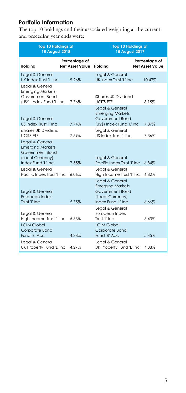# **Portfolio Information**

The top 10 holdings and their associated weighting at the current and preceding year ends were:

| Top 10 Holdings at<br><b>15 August 2018</b>                                                             |                                         | <b>Top 10 Holdings at</b><br><b>15 August 2017</b>                                                       |                                         |
|---------------------------------------------------------------------------------------------------------|-----------------------------------------|----------------------------------------------------------------------------------------------------------|-----------------------------------------|
| Holdina                                                                                                 | Percentage of<br><b>Net Asset Value</b> | Holdina                                                                                                  | Percentage of<br><b>Net Asset Value</b> |
| Legal & General<br>UK Index Trust 'L' Inc                                                               | 9.26%                                   | Legal & General<br>UK Index Trust 'I' Inc.                                                               | 10.47%                                  |
| Legal & General<br><b>Emerging Markets</b><br>Government Bond<br>(US\$) Index Fund 'L' Inc              | 7.76%                                   | iShares UK Dividend<br><b>UCITS FTF</b>                                                                  | 8.15%                                   |
| Legal & General<br>US Index Trust 'I' Inc                                                               | 7.74%                                   | Legal & General<br><b>Emerging Markets</b><br>Government Bond<br>(US\$) Index Fund 'L' Inc               | 7.87%                                   |
| iShares UK Dividend<br><b>UCITS ETF</b>                                                                 | 7.59%                                   | Legal & General<br>US Index Trust 'I' Inc.                                                               | 7.36%                                   |
| Legal & General<br><b>Emerging Markets</b><br>Government Bond<br>(Local Currency)<br>Index Fund 'L' Inc | 7.55%                                   | Legal & General<br>Pacific Index Trust 'I' Inc.                                                          | 6.84%                                   |
| Legal & General<br>Pacific Index Trust 'I' Inc.                                                         | 6.06%                                   | Legal & General<br>High Income Trust 'I' Inc                                                             | 6.82%                                   |
| Legal & General<br>European Index<br>Trust 'I' Inc.                                                     | 5.75%                                   | Legal & General<br><b>Emerging Markets</b><br>Government Bond<br>(Local Currency)<br>Index Fund 'I' Inc. | 6.66%                                   |
| Legal & General<br>High Income Trust 'I' Inc<br><b>GIM Global</b>                                       | 5.63%                                   | Legal & General<br>European Index<br>Trust 'I' Inc.<br><b>IGIM Global</b>                                | 6.43%                                   |
| Corporate Bond<br>Fund 'B' Acc                                                                          | 4.38%                                   | Corporate Bond<br>Fund 'B' Acc                                                                           | 5.45%                                   |
| Legal & General<br>UK Property Fund 'L' Inc                                                             | 4.27%                                   | Legal & General<br>UK Property Fund 'L' Inc                                                              | 4.38%                                   |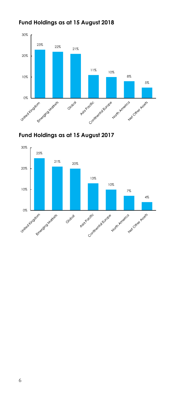# **Fund Holdings as at 15 August 2018**





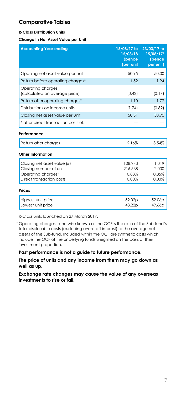### **Comparative Tables**

#### **R-Class Distribution Units**

**Change in Net Asset Value per Unit**

| <b>Accounting Year ending</b>                      | 16/08/17 to<br>15/08/18<br>(pence<br>(per unit | 23/03/17 to<br>15/08/171<br>(pence<br>per unit) |
|----------------------------------------------------|------------------------------------------------|-------------------------------------------------|
| Opening net asset value per unit                   | 50.95                                          | 50.00                                           |
| Return before operating charges*                   | 1.52                                           | 1.94                                            |
| Operating charges<br>(calculated on average price) | (0.42)                                         | (0.17)                                          |
| Return after operating charges*                    | 1.10                                           | 1.77                                            |
| Distributions on income units                      | (1.74)                                         | (0.82)                                          |
| Closing net asset value per unit                   | 50.31                                          | 50.95                                           |
| * after direct transaction costs of:               |                                                |                                                 |
| Performance                                        |                                                |                                                 |
| Return after charges                               | 2.16%                                          | 3.54%                                           |
| Other Information                                  |                                                |                                                 |
| Closing net asset value (£)                        | 108,943                                        | 1.019                                           |
| Closing number of units                            | 216.538                                        | 2,000                                           |
| Operating chargest                                 | 0.83%                                          | 0.85%                                           |
| Direct transaction costs                           | 0.00%                                          | 0.00%                                           |
| Prices                                             |                                                |                                                 |
| Highest unit price<br>Lowest unit price            | 52.02p<br>48.22 <sub>D</sub>                   | 52.06p<br>49.66 <sub>D</sub>                    |

<sup>1</sup> R-Class units launched on 27 March 2017.

† Operating charges, otherwise known as the OCF is the ratio of the Sub-fund's total disclosable costs (excluding overdraft interest) to the average net assets of the Sub-fund. Included within the OCF are synthetic costs which include the OCF of the underlying funds weighted on the basis of their investment proportion.

**Past performance is not a guide to future performance.**

**The price of units and any income from them may go down as well as up.**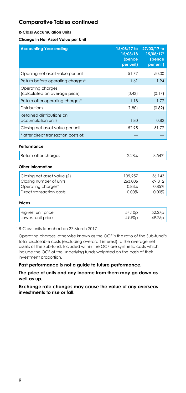#### **R-Class Accumulation Units**

**Change in Net Asset Value per Unit**

| <b>Accounting Year ending</b>                                                                            | 16/08/17 to<br>15/08/18<br>(pence<br>per unit) | 27/03/17 to<br>15/08/171<br>(pence<br>per unit) |
|----------------------------------------------------------------------------------------------------------|------------------------------------------------|-------------------------------------------------|
| Opening net asset value per unit                                                                         | 51.77                                          | 50.00                                           |
| Return before operating charges*                                                                         | 1.61                                           | 1.94                                            |
| Operating charges<br>(calculated on average price)                                                       | (0.43)                                         | (0.17)                                          |
| Return after operating charges*                                                                          | 1.18                                           | 1.77                                            |
| Distributions                                                                                            | (1.80)                                         | (0.82)                                          |
| Retained distributions on<br>accumulation units                                                          | 1.80                                           | 0.82                                            |
| Closing net asset value per unit                                                                         | 52.95                                          | 51.77                                           |
| * after direct transaction costs of:                                                                     |                                                |                                                 |
| Performance                                                                                              |                                                |                                                 |
| Return after charges                                                                                     | 2.28%                                          | 3.54%                                           |
| Other Information                                                                                        |                                                |                                                 |
| Closing net asset value (£)<br>Closing number of units<br>Operating chargest<br>Direct transaction costs | 139,257<br>263.006<br>0.83%<br>0.00%           | 36.143<br>69.812<br>0.85%<br>0.00%              |

#### **Prices**

| Highest unit price | 54.10 <sub>p</sub> | 52.27p |
|--------------------|--------------------|--------|
| Lowest unit price  | 49.90 <sub>p</sub> | 49.75p |

<sup>1</sup> R-Class units launched on 27 March 2017

† Operating charges, otherwise known as the OCF is the ratio of the Sub-fund's total disclosable costs (excluding overdraft interest) to the average net assets of the Sub-fund. Included within the OCF are synthetic costs which include the OCF of the underlying funds weighted on the basis of their investment proportion.

**Past performance is not a guide to future performance.**

**The price of units and any income from them may go down as well as up.**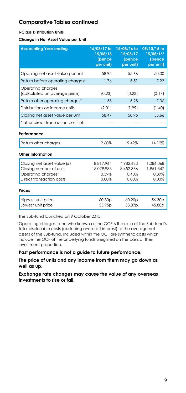#### **I-Class Distribution Units**

**Change in Net Asset Value per Unit**

| <b>Accounting Year ending</b>                      | 16/08/17 to<br>15/08/18<br>(pence<br>per unit) | 16/08/16 to<br>15/08/17<br>(pence<br>per unit) | 09/10/15 to<br>15/08/161<br>(pence<br>per unit) |
|----------------------------------------------------|------------------------------------------------|------------------------------------------------|-------------------------------------------------|
| Opening net asset value per unit                   | 58.95                                          | 55.66                                          | 50.00                                           |
| Return before operating charges*                   | 1.76                                           | 5.51                                           | 7.23                                            |
| Operating charges<br>(calculated on average price) | (0.23)                                         | (0.23)                                         | (0.17)                                          |
| Return after operating charges*                    | 1.53                                           | 5.28                                           | 7.06                                            |
| Distributions on income units                      | (2.01)                                         | (1.99)                                         | (1.40)                                          |
| Closing net asset value per unit                   | 58.47                                          | 58.95                                          | 55.66                                           |
| * after direct transaction costs of:               |                                                |                                                |                                                 |
| Performance                                        |                                                |                                                |                                                 |
| Return after charges                               | 2.60%                                          | 9.49%                                          | 14.12%                                          |
| Other Information                                  |                                                |                                                |                                                 |
| Closing net asset value (£)                        | 8,817,964                                      | 4,982,633                                      | 1,086,068                                       |
| Closing number of units                            | 15.079.983                                     | 8.452.366                                      | 1.951.347                                       |
| Operating chargest<br>Direct transaction costs     | 0.39%<br>0.00%                                 | 0.40%<br>0.00%                                 | 0.39%<br>0.00%                                  |
|                                                    |                                                |                                                |                                                 |
| Prices                                             |                                                |                                                |                                                 |
| Highest unit price                                 | 60.30 <sub>p</sub>                             | 60.20p                                         | 56.30 <sub>p</sub>                              |
| Lowest unit price                                  | 55.95p                                         | 53.87p                                         | 45.88p                                          |

<sup>1</sup> The Sub-fund launched on 9 October 2015.

† Operating charges, otherwise known as the OCF is the ratio of the Sub-fund's total disclosable costs (excluding overdraft interest) to the average net assets of the Sub-fund. Included within the OCF are synthetic costs which include the OCF of the underlying funds weighted on the basis of their investment proportion.

**Past performance is not a guide to future performance.**

**The price of units and any income from them may go down as well as up.**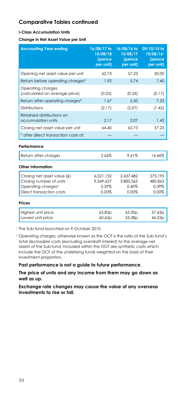#### **I-Class Accumulation Units**

**Change in Net Asset Value per Unit**

| <b>Accounting Year ending</b>                                                                            | 16/08/17 to<br>15/08/18<br>(pence<br>per unit) | 16/08/16 to<br>15/08/17<br>(pence<br>per unit) | 09/10/15 to<br>15/08/161<br>(pence<br>per unit) |
|----------------------------------------------------------------------------------------------------------|------------------------------------------------|------------------------------------------------|-------------------------------------------------|
| Opening net asset value per unit                                                                         | 62.73                                          | 57.23                                          | 50.00                                           |
| Return before operating charges*                                                                         | 1.92                                           | 5.74                                           | 7.40                                            |
| Operating charges<br>(calculated on average price)                                                       | (0.25)                                         | (0.24)                                         | (0.17)                                          |
| Return after operating charges*                                                                          | 1.67                                           | 5.50                                           | 7.23                                            |
| Distributions                                                                                            | (2.17)                                         | (2.07)                                         | (1.42)                                          |
| Retained distributions on<br>accumulation units                                                          | 2.17                                           | 2.07                                           | 1.42                                            |
| Closing net asset value per unit                                                                         | 64.40                                          | 62.73                                          | 57.23                                           |
| * after direct transaction costs of:                                                                     |                                                |                                                |                                                 |
| Performance                                                                                              |                                                |                                                |                                                 |
| Return after charges                                                                                     | 2.66%                                          | 9.61%                                          | 14.46%                                          |
| Other Information                                                                                        |                                                |                                                |                                                 |
| Closing net asset value (£)<br>Closing number of units<br>Operating chargest<br>Direct transaction costs | 6.021.152<br>9,349,627<br>0.39%<br>0.00%       | 2.437.482<br>3.885.365<br>0.40%<br>0.00%       | 275.195<br>480.863<br>0.39%<br>0.00%            |
| Prices                                                                                                   |                                                |                                                |                                                 |
| Highest unit price<br>Lowest unit price                                                                  | 65.82p<br>60.62p                               | 63.30 <sub>p</sub><br>55.38 <sub>p</sub>       | 57.63p<br>46.03p                                |

<sup>1</sup> The Sub-fund launched on 9 October 2015.

† Operating charges, otherwise known as the OCF is the ratio of the Sub-fund's total disclosable costs (excluding overdraft interest) to the average net assets of the Sub-fund. Included within the OCF are synthetic costs which include the OCF of the underlying funds weighted on the basis of their investment proportion.

**Past performance is not a guide to future performance.**

**The price of units and any income from them may go down as well as up.**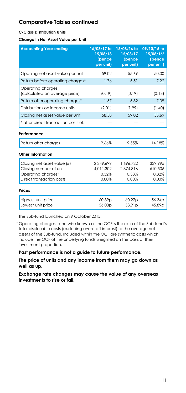#### **C-Class Distribution Units**

**Change in Net Asset Value per Unit**

| <b>Accounting Year ending</b>                                                                            | 16/08/17 to<br>$15/08/\overline{18}$<br>(pence<br>per unit) | 16/08/16 to<br>15/08/17<br>(pence<br>per unit) | 09/10/15 to<br>15/08/161<br>(pence<br>per unit) |
|----------------------------------------------------------------------------------------------------------|-------------------------------------------------------------|------------------------------------------------|-------------------------------------------------|
| Opening net asset value per unit                                                                         | 59.02                                                       | 55.69                                          | 50.00                                           |
| Return before operating charges*                                                                         | 1.76                                                        | 5.51                                           | 7.22                                            |
| Operating charges<br>(calculated on average price)                                                       | (0.19)                                                      | (0.19)                                         | (0.13)                                          |
| Return after operating charges*                                                                          | 1.57                                                        | 5.32                                           | 7.09                                            |
| Distributions on income units                                                                            | (2.01)                                                      | (1.99)                                         | (1.40)                                          |
| Closing net asset value per unit                                                                         | 58.58                                                       | 59.02                                          | 55.69                                           |
| * after direct transaction costs of:                                                                     |                                                             |                                                |                                                 |
| Performance                                                                                              |                                                             |                                                |                                                 |
| Return after charges                                                                                     | 2.66%                                                       | 9.55%                                          | 14.18%                                          |
| Other Information                                                                                        |                                                             |                                                |                                                 |
| Closing net asset value (£)<br>Closing number of units<br>Operating chargest<br>Direct transaction costs | 2.349.699<br>4,011,302<br>0.32%<br>0.00%                    | 1.696.722<br>2.874.816<br>0.33%<br>0.00%       | 339.995<br>610.506<br>0.32%<br>0.00%            |
| Prices                                                                                                   |                                                             |                                                |                                                 |
| Highest unit price<br>Lowest unit price                                                                  | 60.39p<br>56.03p                                            | 60.27p<br>53.91 <sub>p</sub>                   | 56.34p<br>45.89p                                |

<sup>1</sup> The Sub-fund launched on 9 October 2015.

† Operating charges, otherwise known as the OCF is the ratio of the Sub-fund's total disclosable costs (excluding overdraft interest) to the average net assets of the Sub-fund. Included within the OCF are synthetic costs which include the OCF of the underlying funds weighted on the basis of their investment proportion.

**Past performance is not a guide to future performance.**

**The price of units and any income from them may go down as well as up.**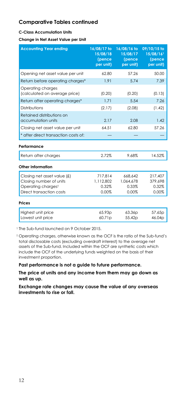#### **C-Class Accumulation Units**

**Change in Net Asset Value per Unit**

| <b>Accounting Year ending</b>                                                                            | 16/08/17 to<br>15/08/18<br>(pence<br>per unit) | 16/08/16 to<br>15/08/17<br>(pence<br>per unit) | 09/10/15 to<br>15/08/161<br>(pence<br>per unit) |
|----------------------------------------------------------------------------------------------------------|------------------------------------------------|------------------------------------------------|-------------------------------------------------|
| Opening net asset value per unit                                                                         | 62.80                                          | 57.26                                          | 50.00                                           |
| Return before operating charges*                                                                         | 1.91                                           | 5.74                                           | 7.39                                            |
| Operating charges<br>(calculated on average price)                                                       | (0.20)                                         | (0.20)                                         | (0.13)                                          |
| Return after operating charges*                                                                          | 1.71                                           | 5.54                                           | 7.26                                            |
| <b>Distributions</b>                                                                                     | (2.17)                                         | (2.08)                                         | (1.42)                                          |
| Retained distributions on<br>accumulation units                                                          | 2.17                                           | 2.08                                           | 1.42                                            |
| Closing net asset value per unit                                                                         | 64.51                                          | 62.80                                          | 57.26                                           |
| * after direct transaction costs of:                                                                     |                                                |                                                |                                                 |
| Performance                                                                                              |                                                |                                                |                                                 |
| Return after charges                                                                                     | 2.72%                                          | 9.68%                                          | 14.52%                                          |
| Other Information                                                                                        |                                                |                                                |                                                 |
| Closing net asset value (£)<br>Closing number of units<br>Operating chargest<br>Direct transaction costs | 717.814<br>1,112,802<br>0.32%<br>0.00%         | 668.642<br>1,064,678<br>0.33%<br>0.00%         | 217.407<br>379,698<br>0.32%<br>0.00%            |
| Prices                                                                                                   |                                                |                                                |                                                 |
| Highest unit price<br>Lowest unit price                                                                  | 65.93 <sub>p</sub><br>60.71p                   | 63.36 <sub>p</sub><br>55.42p                   | 57.65p<br>46.04p                                |

<sup>1</sup> The Sub-fund launched on 9 October 2015.

† Operating charges, otherwise known as the OCF is the ratio of the Sub-fund's total disclosable costs (excluding overdraft interest) to the average net assets of the Sub-fund. Included within the OCF are synthetic costs which include the OCF of the underlying funds weighted on the basis of their investment proportion.

**Past performance is not a guide to future performance.**

**The price of units and any income from them may go down as well as up.**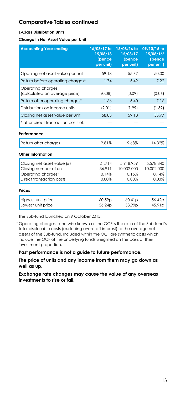#### **L-Class Distribution Units**

**Change in Net Asset Value per Unit**

| <b>Accounting Year ending</b>                          | 16/08/17 to<br>15/08/18<br>(pence<br>per unit) | 16/08/16 to<br>15/08/17<br>(pence<br>per unit) | 09/10/15 to<br>15/08/161<br>(pence<br>per unit) |
|--------------------------------------------------------|------------------------------------------------|------------------------------------------------|-------------------------------------------------|
| Opening net asset value per unit                       | 59.18                                          | 55.77                                          | 50.00                                           |
| Return before operating charges*                       | 1.74                                           | 5.49                                           | 7.22                                            |
| Operating charges<br>(calculated on average price)     | (0.08)                                         | (0.09)                                         | (0.06)                                          |
| Return after operating charges*                        | 1.66                                           | 5.40                                           | 7.16                                            |
| Distributions on income units                          | (2.01)                                         | (1.99)                                         | (1.39)                                          |
| Closing net asset value per unit                       | 58.83                                          | 59.18                                          | 55.77                                           |
| * after direct transaction costs of:                   |                                                |                                                |                                                 |
| Performance                                            |                                                |                                                |                                                 |
| Return after charges                                   | 2.81%                                          | 9.68%                                          | 14.32%                                          |
| Other Information                                      |                                                |                                                |                                                 |
| Closing net asset value (£)<br>Closing number of units | 21,714<br>36.911                               | 5.918.959<br>10.002.000                        | 5,578,340<br>10.002.000                         |
| Operating chargest                                     | 0.14%                                          | 0.15%                                          | 0.14%                                           |
| Direct transaction costs                               | 0.00%                                          | 0.00%                                          | 0.00%                                           |
| Prices                                                 |                                                |                                                |                                                 |
| Highest unit price<br>Lowest unit price                | 60.59p<br>56.24p                               | 60.41p<br>53.99 <sub>p</sub>                   | 56.42p<br>45.91p                                |

<sup>1</sup> The Sub-fund launched on 9 October 2015.

† Operating charges, otherwise known as the OCF is the ratio of the Sub-fund's total disclosable costs (excluding overdraft interest) to the average net assets of the Sub-fund. Included within the OCF are synthetic costs which include the OCF of the underlying funds weighted on the basis of their investment proportion.

**Past performance is not a guide to future performance.**

**The price of units and any income from them may go down as well as up.**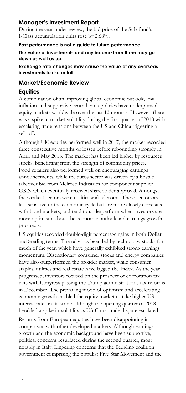# **Manager's Investment Report**

During the year under review, the bid price of the Sub-fund's I-Class accumulation units rose by 2.68%.

#### **Past performance is not a guide to future performance.**

**The value of investments and any income from them may go down as well as up.**

**Exchange rate changes may cause the value of any overseas investments to rise or fall.**

### **Market/Economic Review**

## **Equities**

A combination of an improving global economic outlook, low inflation and supportive central bank policies have underpinned equity markets worldwide over the last 12 months. However, there was a spike in market volatility during the first quarter of 2018 with escalating trade tensions between the US and China triggering a sell-off.

Although UK equities performed well in 2017, the market recorded three consecutive months of losses before rebounding strongly in April and May 2018. The market has been led higher by resources stocks, benefitting from the strength of commodity prices. Food retailers also performed well on encouraging earnings announcements, while the autos sector was driven by a hostile takeover bid from Melrose Industries for component supplier GKN which eventually received shareholder approval. Amongst the weakest sectors were utilities and telecoms. These sectors are less sensitive to the economic cycle but are more closely correlated with bond markets, and tend to underperform when investors are more optimistic about the economic outlook and earnings growth prospects.

US equities recorded double-digit percentage gains in both Dollar and Sterling terms. The rally has been led by technology stocks for much of the year, which have generally exhibited strong earnings momentum. Discretionary consumer stocks and energy companies have also outperformed the broader market, while consumer staples, utilities and real estate have lagged the Index. As the year progressed, investors focused on the prospect of corporation tax cuts with Congress passing the Trump administration's tax reforms in December. The prevailing mood of optimism and accelerating economic growth enabled the equity market to take higher US interest rates in its stride, although the opening quarter of 2018 heralded a spike in volatility as US-China trade dispute escalated.

Returns from European equities have been disappointing in comparison with other developed markets. Although earnings growth and the economic background have been supportive, political concerns resurfaced during the second quarter, most notably in Italy. Lingering concerns that the fledgling coalition government comprising the populist Five Star Movement and the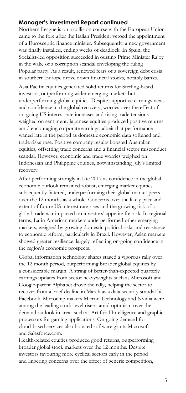## **Manager's Investment Report continued**

Northern League is on a collision course with the European Union came to the fore after the Italian President vetoed the appointment of a Eurosceptic finance minister. Subsequently, a new government was finally installed, ending weeks of deadlock. In Spain, the Socialist-led opposition succeeded in ousting Prime Minister Rajoy in the wake of a corruption scandal enveloping the ruling Popular party. As a result, renewed fears of a sovereign debt crisis in southern Europe drove down financial stocks, notably banks.

Asia Pacific equities generated solid returns for Sterling-based investors, outperforming wider emerging markets but underperforming global equities. Despite supportive earnings news and confidence in the global recovery, worries over the effect of on-going US interest rate increases and rising trade tensions weighed on sentiment. Japanese equities produced positive returns amid encouraging corporate earnings, albeit that performance waned late in the period as domestic economic data softened and trade risks rose. Positive company results boosted Australian equities, offsetting trade concerns and a financial sector misconduct scandal. However, economic and trade worries weighed on Indonesian and Philippine equities, notwithstanding July's limited recovery.

After performing strongly in late 2017 as confidence in the global economic outlook remained robust, emerging market equities subsequently faltered, underperforming their global market peers over the 12 months as a whole. Concerns over the likely pace and extent of future US interest rate rises and the growing risk of a global trade war impacted on investors' appetite for risk. In regional terms, Latin American markets underperformed other emerging markets, weighed by growing domestic political risks and resistance to economic reform, particularly in Brazil. However, Asian markets showed greater resilience, largely reflecting on-going confidence in the region's economic prospects.

Global information technology shares staged a vigorous rally over the 12 month period, outperforming broader global equities by a considerable margin. A string of better-than-expected quarterly earnings updates from sector heavyweights such as Microsoft and Google-parent Alphabet drove the rally, helping the sector to recover from a brief decline in March as a data security scandal hit Facebook. Microchip makers Micron Technology and Nvidia were among the leading stock-level risers, amid optimism over the demand outlook in areas such as Artificial Intelligence and graphics processors for gaming applications. On-going demand for cloud-based services also boosted software giants Microsoft and Salesforce.com.

Health-related equities produced good returns, outperforming broader global stock markets over the 12 months. Despite investors favouring more cyclical sectors early in the period and lingering concerns over the effect of generic competition,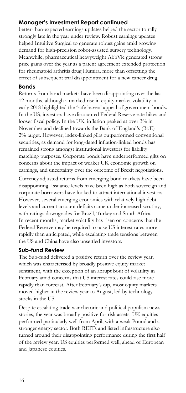# **Manager's Investment Report continued**

better-than-expected earnings updates helped the sector to rally strongly late in the year under review. Robust earnings updates helped Intuitive Surgical to generate robust gains amid growing demand for high-precision robot-assisted surgery technology. Meanwhile, pharmaceutical heavyweight AbbVie generated strong price gains over the year as a patent agreement extended protection for rheumatoid arthritis drug Humira, more than offsetting the effect of subsequent trial disappointment for a new cancer drug.

# **Bonds**

Returns from bond markets have been disappointing over the last 12 months, although a marked rise in equity market volatility in early 2018 highlighted the 'safe haven' appeal of government bonds. In the US, investors have discounted Federal Reserve rate hikes and looser fiscal policy. In the UK, inflation peaked at over 3% in November and declined towards the Bank of England's (BoE) 2% target. However, index-linked gilts outperformed conventional securities, as demand for long-dated inflation-linked bonds has remained strong amongst institutional investors for liability matching purposes. Corporate bonds have underperformed gilts on concerns about the impact of weaker UK economic growth on earnings, and uncertainty over the outcome of Brexit negotiations.

Currency adjusted returns from emerging bond markets have been disappointing. Issuance levels have been high as both sovereign and corporate borrowers have looked to attract international investors. However, several emerging economies with relatively high debt levels and current account deficits came under increased scrutiny, with ratings downgrades for Brazil, Turkey and South Africa. In recent months, market volatility has risen on concerns that the Federal Reserve may be required to raise US interest rates more rapidly than anticipated, while escalating trade tensions between the US and China have also unsettled investors.

### **Sub-fund Review**

The Sub-fund delivered a positive return over the review year, which was characterised by broadly positive equity market sentiment, with the exception of an abrupt bout of volatility in February amid concerns that US interest rates could rise more rapidly than forecast. After February's dip, most equity markets moved higher in the review year to August, led by technology stocks in the US.

Despite escalating trade war rhetoric and political populism news stories, the year was broadly positive for risk assets. UK equities performed particularly well from April, with a weak Pound and a stronger energy sector. Both REITs and listed infrastructure also turned around their disappointing performance during the first half of the review year. US equities performed well, ahead of European and Japanese equities.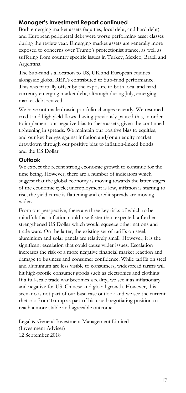# **Manager's Investment Report continued**

Both emerging market assets (equities, local debt, and hard debt) and European peripheral debt were worse performing asset classes during the review year. Emerging market assets are generally more exposed to concerns over Trump's protectionist stance, as well as suffering from country specific issues in Turkey, Mexico, Brazil and Argentina.

The Sub-fund's allocation to US, UK and European equities alongside global REITs contributed to Sub-fund performance. This was partially offset by the exposure to both local and hard currency emerging market debt, although during July, emerging market debt revived.

We have not made drastic portfolio changes recently. We resumed credit and high yield flows, having previously paused this, in order to implement our negative bias to these assets, given the continued tightening in spreads. We maintain our positive bias to equities, and our key hedges against inflation and/or an equity market drawdown through our positive bias to inflation-linked bonds and the US Dollar.

# **Outlook**

We expect the recent strong economic growth to continue for the time being. However, there are a number of indicators which suggest that the global economy is moving towards the latter stages of the economic cycle; unemployment is low, inflation is starting to rise, the yield curve is flattening and credit spreads are moving wider.

From our perspective, there are three key risks of which to be mindful: that inflation could rise faster than expected, a further strengthened US Dollar which would squeeze other nations and trade wars. On the latter, the existing set of tariffs on steel, aluminium and solar panels are relatively small. However, it is the significant escalation that could cause wider issues. Escalation increases the risk of a more negative financial market reaction and damage to business and consumer confidence. While tariffs on steel and aluminium are less visible to consumers, widespread tariffs will hit high-profile consumer goods such as electronics and clothing. If a full-scale trade war becomes a reality, we see it as inflationary and negative for US, Chinese and global growth. However, this scenario is not part of our base case outlook and we see the current rhetoric from Trump as part of his usual negotiating position to reach a more stable and agreeable outcome.

Legal & General Investment Management Limited (Investment Adviser) 12 September 2018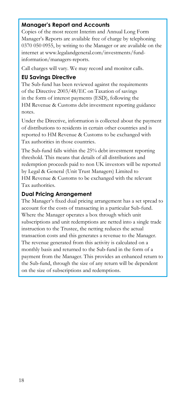# **Manager's Report and Accounts**

Copies of the most recent Interim and Annual Long Form Manager's Reports are available free of charge by telephoning 0370 050 0955, by writing to the Manager or are available on the internet at www.legalandgeneral.com/investments/fundinformation/managers-reports.

Call charges will vary. We may record and monitor calls.

### **EU Savings Directive**

The Sub-fund has been reviewed against the requirements of the Directive 2003/48/EC on Taxation of savings in the form of interest payments (ESD), following the HM Revenue & Customs debt investment reporting guidance notes.

Under the Directive, information is collected about the payment of distributions to residents in certain other countries and is reported to HM Revenue & Customs to be exchanged with Tax authorities in those countries.

The Sub-fund falls within the 25% debt investment reporting threshold. This means that details of all distributions and redemption proceeds paid to non UK investors will be reported by Legal & General (Unit Trust Managers) Limited to HM Revenue & Customs to be exchanged with the relevant Tax authorities.

### **Dual Pricing Arrangement**

The Manager's fixed dual pricing arrangement has a set spread to account for the costs of transacting in a particular Sub-fund. Where the Manager operates a box through which unit subscriptions and unit redemptions are netted into a single trade instruction to the Trustee, the netting reduces the actual transaction costs and this generates a revenue to the Manager. The revenue generated from this activity is calculated on a monthly basis and returned to the Sub-fund in the form of a payment from the Manager. This provides an enhanced return to the Sub-fund, through the size of any return will be dependent on the size of subscriptions and redemptions.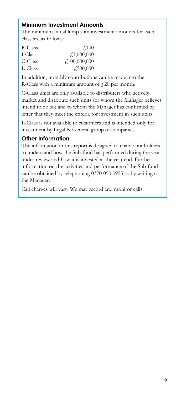# **Minimum Investment Amounts**

The minimum initial lump sum investment amounts for each class are as follows:

| R-Class | $\angle 100$                      |
|---------|-----------------------------------|
| I-Class | f1,000,000                        |
| C-Class | $\text{\textsterling}100,000,000$ |
| L-Class | $\sqrt{.500,000}$                 |

In addition, monthly contributions can be made into the R-Class with a minimum amount of  $\text{\emph{f}}20$  per month.

C-Class units are only available to distributers who actively market and distribute such units (or whom the Manager believes intend to do so) and to whom the Manager has confirmed by letter that they meet the criteria for investment in such units.

L-Class is not available to customers and is intended only for investment by Legal & General group of companies.

# **Other Information**

The information in this report is designed to enable unitholders to understand how the Sub-fund has performed during the year under review and how it is invested at the year end. Further information on the activities and performance of the Sub-fund can be obtained by telephoning 0370 050 0955 or by writing to the Manager.

Call charges will vary. We may record and monitor calls.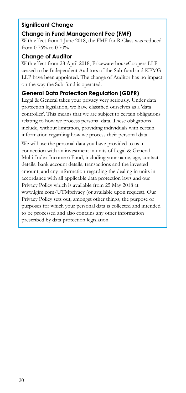### **Significant Change**

# **Change in Fund Management Fee (FMF)**

With effect from 1 June 2018, the FMF for R-Class was reduced from 0.76% to 0.70%

### **Change of Auditor**

With effect from 28 April 2018, PricewaterhouseCoopers LLP ceased to be Independent Auditors of the Sub-fund and KPMG LLP have been appointed. The change of Auditor has no impact on the way the Sub-fund is operated.

# **General Data Protection Regulation (GDPR)**

Legal & General takes your privacy very seriously. Under data protection legislation, we have classified ourselves as a 'data controller'. This means that we are subject to certain obligations relating to how we process personal data. These obligations include, without limitation, providing individuals with certain information regarding how we process their personal data.

We will use the personal data you have provided to us in connection with an investment in units of Legal & General Multi-Index Income 6 Fund, including your name, age, contact details, bank account details, transactions and the invested amount, and any information regarding the dealing in units in accordance with all applicable data protection laws and our Privacy Policy which is available from 25 May 2018 at www.lgim.com/UTMprivacy (or available upon request). Our Privacy Policy sets out, amongst other things, the purpose or purposes for which your personal data is collected and intended to be processed and also contains any other information prescribed by data protection legislation.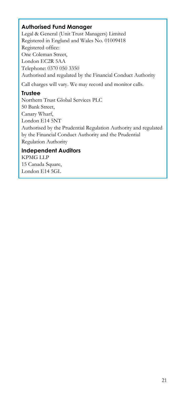# **Authorised Fund Manager**

Legal & General (Unit Trust Managers) Limited Registered in England and Wales No. 01009418 Registered office: One Coleman Street, London EC2R 5AA Telephone: 0370 050 3350 Authorised and regulated by the Financial Conduct Authority Call charges will vary. We may record and monitor calls.

# **Trustee**

Northern Trust Global Services PLC 50 Bank Street, Canary Wharf, London E14 5NT Authorised by the Prudential Regulation Authority and regulated by the Financial Conduct Authority and the Prudential Regulation Authority

# **Independent Auditors**

KPMG LLP 15 Canada Square, London E14 5GL